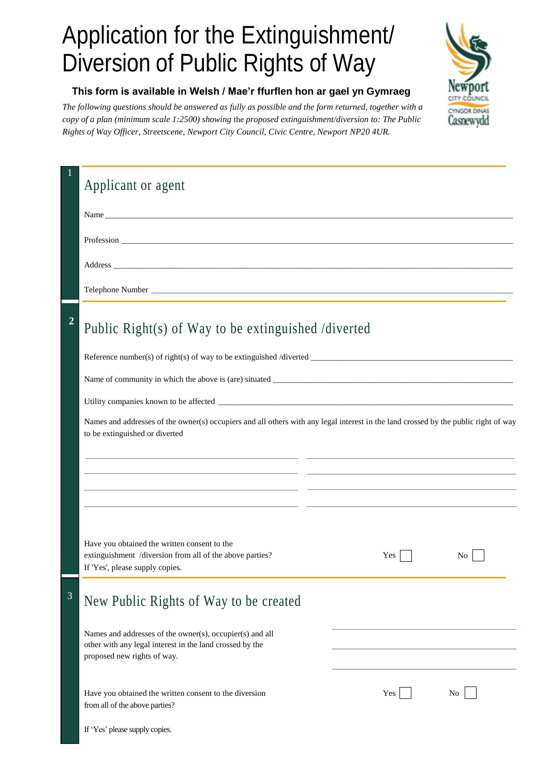## Application for the Extinguishment/ Diversion of Public Rights of Way



## **This form is available in Welsh / Mae'r ffurflen hon ar gael yn Gymraeg**

*The following questions should be answered as fully as possible and the form returned, together with a copy of a plan (minimum scale 1:2500) showing* the *proposed extinguishment/diversion to: The Public Rights of Way Officer, Streetscene, Newport City Council, Civic Centre, Newport NP20 4UR.*

|                | Applicant or agent                                                                                                                                                                                                                                                                                                                                                                                                                                                              |     |    |
|----------------|---------------------------------------------------------------------------------------------------------------------------------------------------------------------------------------------------------------------------------------------------------------------------------------------------------------------------------------------------------------------------------------------------------------------------------------------------------------------------------|-----|----|
|                | Name has been a set of the set of the set of the set of the set of the set of the set of the set of the set of the set of the set of the set of the set of the set of the set of the set of the set of the set of the set of t                                                                                                                                                                                                                                                  |     |    |
|                |                                                                                                                                                                                                                                                                                                                                                                                                                                                                                 |     |    |
|                |                                                                                                                                                                                                                                                                                                                                                                                                                                                                                 |     |    |
|                |                                                                                                                                                                                                                                                                                                                                                                                                                                                                                 |     |    |
| $\overline{2}$ | Public Right(s) of Way to be extinguished /diverted<br>Names and addresses of the owner(s) occupiers and all others with any legal interest in the land crossed by the public right of way<br>to be extinguished or diverted<br><u> 1989 - Johann Harry Harry Barnett, amerikan bisa yang bermula pada 1989 - Parangan Barnett Barnett Barnett Ba</u><br><u> 1999 - Andrea San Andrea San Andrea San Andrea San Andrea San Andrea San Andrea San Andrea San Andrea San Andr</u> |     |    |
|                | Have you obtained the written consent to the<br>extinguishment /diversion from all of the above parties?<br>If 'Yes', please supply copies.                                                                                                                                                                                                                                                                                                                                     | Yes | No |
| 3              | New Public Rights of Way to be created                                                                                                                                                                                                                                                                                                                                                                                                                                          |     |    |
|                | Names and addresses of the owner(s), occupier(s) and all<br>other with any legal interest in the land crossed by the<br>proposed new rights of way.                                                                                                                                                                                                                                                                                                                             |     |    |
|                | Have you obtained the written consent to the diversion<br>from all of the above parties?                                                                                                                                                                                                                                                                                                                                                                                        | Yes | No |
|                | If 'Yes' please supply copies.                                                                                                                                                                                                                                                                                                                                                                                                                                                  |     |    |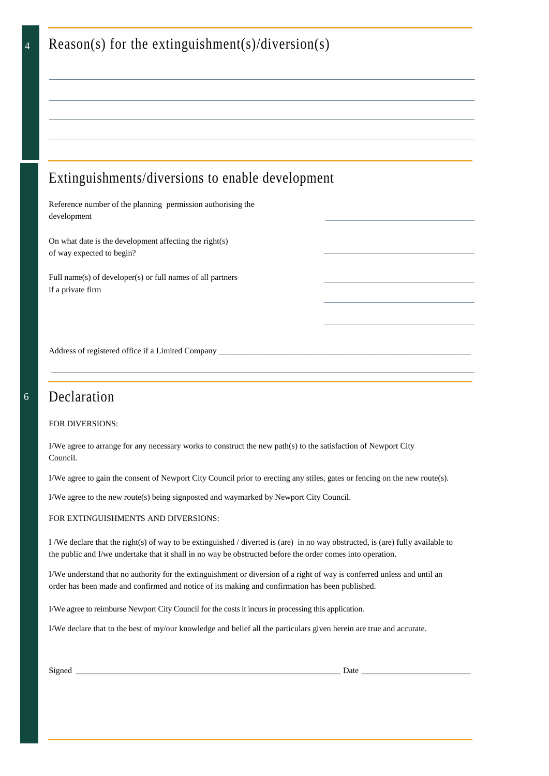| Reason(s) for the extinguishment(s)/diversion(s)                                                                                                                                                                                             |  |  |  |  |
|----------------------------------------------------------------------------------------------------------------------------------------------------------------------------------------------------------------------------------------------|--|--|--|--|
|                                                                                                                                                                                                                                              |  |  |  |  |
|                                                                                                                                                                                                                                              |  |  |  |  |
|                                                                                                                                                                                                                                              |  |  |  |  |
|                                                                                                                                                                                                                                              |  |  |  |  |
| Extinguishments/diversions to enable development                                                                                                                                                                                             |  |  |  |  |
| Reference number of the planning permission authorising the<br>development                                                                                                                                                                   |  |  |  |  |
| On what date is the development affecting the right(s)<br>of way expected to begin?                                                                                                                                                          |  |  |  |  |
| Full name(s) of developer(s) or full names of all partners<br>if a private firm                                                                                                                                                              |  |  |  |  |
|                                                                                                                                                                                                                                              |  |  |  |  |
|                                                                                                                                                                                                                                              |  |  |  |  |
|                                                                                                                                                                                                                                              |  |  |  |  |
| Declaration                                                                                                                                                                                                                                  |  |  |  |  |
| <b>FOR DIVERSIONS:</b>                                                                                                                                                                                                                       |  |  |  |  |
| I/We agree to arrange for any necessary works to construct the new path(s) to the satisfaction of Newport City<br>Council.                                                                                                                   |  |  |  |  |
| I/We agree to gain the consent of Newport City Council prior to erecting any stiles, gates or fencing on the new route(s).                                                                                                                   |  |  |  |  |
| I/We agree to the new route(s) being signposted and waymarked by Newport City Council.                                                                                                                                                       |  |  |  |  |
| FOR EXTINGUISHMENTS AND DIVERSIONS:                                                                                                                                                                                                          |  |  |  |  |
| I/We declare that the right(s) of way to be extinguished / diverted is (are) in no way obstructed, is (are) fully available to<br>the public and I/we undertake that it shall in no way be obstructed before the order comes into operation. |  |  |  |  |

I/We understand that no authority for the extinguishment or diversion of a right of way is conferred unless and until an order has been made and confirmed and notice of its making and confirmation has been published.

I/We agree to reimburse Newport City Council for the costs it incurs in processing this application.

I/We declare that to the best of my/our knowledge and belief all the particulars given herein are true and accurate.

| ۹<br>I |
|--------|
|--------|

4

6

Signed \_\_\_\_\_\_\_\_\_\_\_\_\_\_\_\_\_\_\_\_\_\_\_\_\_\_\_\_\_\_\_\_\_\_\_\_\_\_\_\_\_\_\_\_\_\_\_\_\_\_\_\_\_\_\_\_\_\_\_\_\_\_\_ Date \_\_\_\_\_\_\_\_\_\_\_\_\_\_\_\_\_\_\_\_\_\_\_\_\_\_